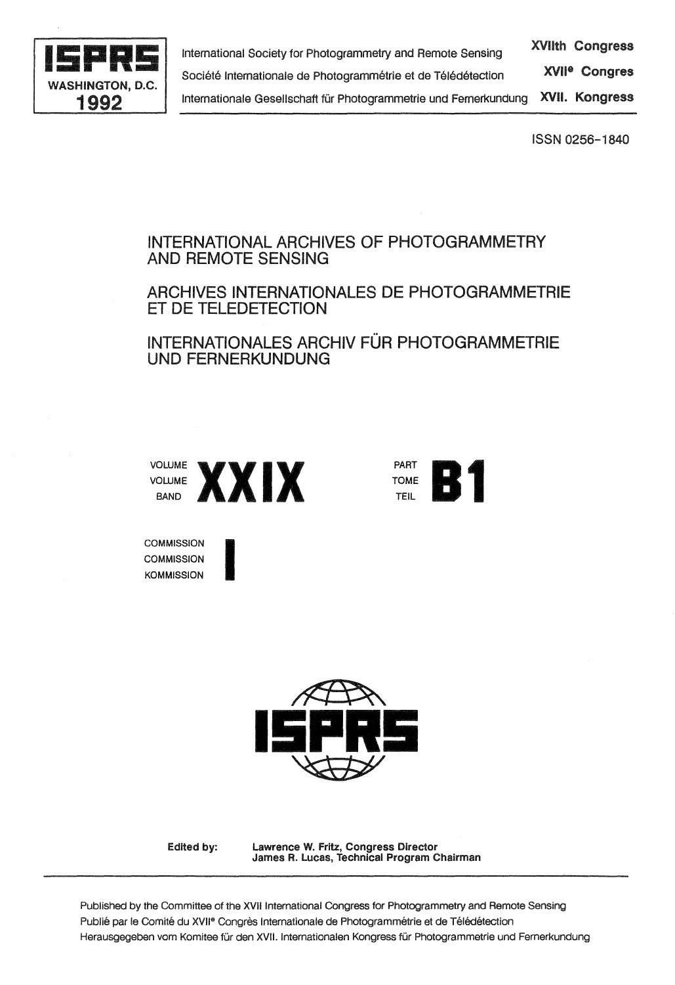

ISSN 0256-1840

# INTERNATIONAL ARCHIVES OF PHOTOGRAMMETRY AND REMOTE SENSING

## ARCHIVES INTERNATIONALES DE PHOTOGRAMMETRIE ET DE TELEDETECTION

# INTERNATIONALES ARCHIV FÜR PHOTOGRAMMETRIE UNO FERNERKUNDUNG



I



**COMMISSION COMMISSION KOMMISSION** 



Edited by:

lawrence W. Fritz, Congress Director James R. lucas, Technical Program Chairman

Published by the Committee of the XVII International Congress for Photogrammetry and Remote Sensing Publié par le Comité du XVII<sup>e</sup> Congrès Internationale de Photogrammétrie et de Télédétection Herausgegeben vom Komitee für den XVII. Internationalen Kongress für Photogrammetrie und Fernerkundung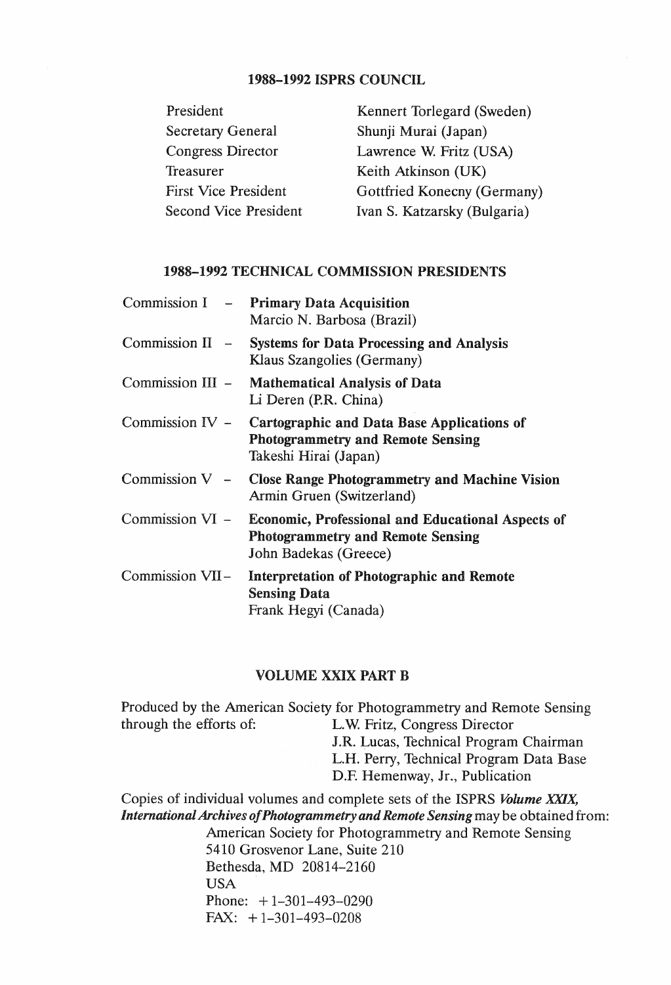## 1988-1992 ISPRS COUNCIL

| President                    | Kennert Torlegard (Sweden)   |
|------------------------------|------------------------------|
| <b>Secretary General</b>     | Shunji Murai (Japan)         |
| <b>Congress Director</b>     | Lawrence W. Fritz (USA)      |
| Treasurer                    | Keith Atkinson (UK)          |
| <b>First Vice President</b>  | Gottfried Konecny (Germany)  |
| <b>Second Vice President</b> | Ivan S. Katzarsky (Bulgaria) |

#### 1988-1992 TECHNICAL COMMISSION PRESIDENTS

|                 | Commission I - Primary Data Acquisition<br>Marcio N. Barbosa (Brazil)                                                                  |
|-----------------|----------------------------------------------------------------------------------------------------------------------------------------|
|                 | Commission II - Systems for Data Processing and Analysis<br>Klaus Szangolies (Germany)                                                 |
|                 | Commission III - Mathematical Analysis of Data<br>Li Deren (P.R. China)                                                                |
|                 | Commission IV - Cartographic and Data Base Applications of<br><b>Photogrammetry and Remote Sensing</b><br>Takeshi Hirai (Japan)        |
|                 | Commission $V -$ Close Range Photogrammetry and Machine Vision<br>Armin Gruen (Switzerland)                                            |
|                 | Commission VI - Economic, Professional and Educational Aspects of<br><b>Photogrammetry and Remote Sensing</b><br>John Badekas (Greece) |
| Commission VII- | Interpretation of Photographic and Remote<br><b>Sensing Data</b><br>Frank Hegyi (Canada)                                               |

#### VOLUME XXIX PART B

Produced by the American Society for Photogrammetry and Remote Sensing<br>through the efforts of: L.W. Fritz, Congress Director L.W. Fritz, Congress Director J.R. Lucas, Technical Program Chairman L.H. Perry, Technical Program Data Base D.F. Hemenway, Jr., Publication Copies of individual volumes and complete sets of the ISPRS *Volume XXIX, International Archives of Photogrammetry and Remote Sensing* may be obtained from: American Society for Photogrammetry and Remote Sensing 5410 Grosvenor Lane, Suite 210 Bethesda, MD 20814-2160 USA Phone:  $+1-301-493-0290$ FAX: + 1-301-493-0208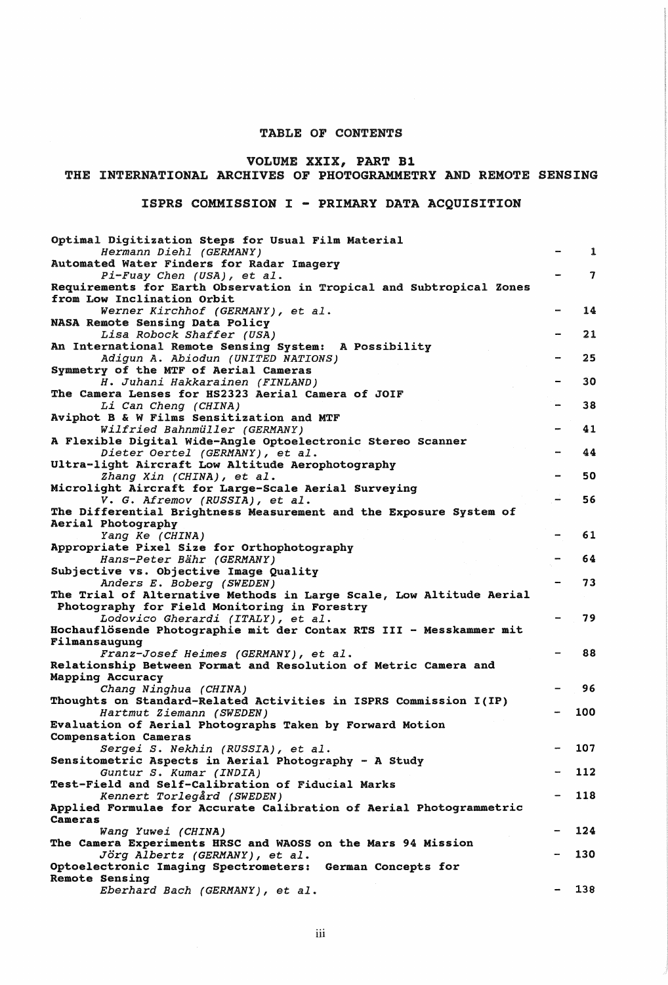#### TABLE OF CONTENTS

## VOLUME XXIX, PART Bl

#### THE INTERNATIONAL ARCHIVES OF PHOTOGRAMMETRY AND REMOTE SENSING

### ISPRS COMMISSION I - PRIMARY DATA ACQUISITION

| Optimal Digitization Steps for Usual Film Material                                                 |              |
|----------------------------------------------------------------------------------------------------|--------------|
| Hermann Diehl (GERMANY)                                                                            | $\mathbf{1}$ |
| Automated Water Finders for Radar Imagery                                                          |              |
| Pi-Fuay Chen (USA), et al.                                                                         | $\mathbf{7}$ |
| Requirements for Earth Observation in Tropical and Subtropical Zones<br>from Low Inclination Orbit |              |
| Werner Kirchhof (GERMANY), et al.                                                                  | 14           |
| NASA Remote Sensing Data Policy                                                                    |              |
| Lisa Robock Shaffer (USA)                                                                          | 21           |
| An International Remote Sensing System: A Possibility                                              |              |
| Adigun A. Abiodun (UNITED NATIONS)                                                                 | 25           |
| Symmetry of the MTF of Aerial Cameras                                                              |              |
| H. Juhani Hakkarainen (FINLAND)                                                                    | 30           |
| The Camera Lenses for HS2323 Aerial Camera of JOIF                                                 |              |
| Li Can Cheng (CHINA)                                                                               | 38           |
| Aviphot B & W Films Sensitization and MTF                                                          |              |
| Wilfried Bahnmüller (GERMANY)                                                                      | 41           |
| A Flexible Digital Wide-Angle Optoelectronic Stereo Scanner                                        |              |
| Dieter Oertel (GERMANY), et al.                                                                    | 44           |
| Ultra-light Aircraft Low Altitude Aerophotography                                                  |              |
| Zhang Xin (CHINA), et al.                                                                          | 50           |
| Microlight Aircraft for Large-Scale Aerial Surveying                                               |              |
| V. G. Afremov (RUSSIA), et al.                                                                     | 56           |
| The Differential Brightness Measurement and the Exposure System of                                 |              |
| Aerial Photography                                                                                 |              |
| Yang Ke (CHINA)                                                                                    | 61           |
| Appropriate Pixel Size for Orthophotography<br>Hans-Peter Bähr (GERMANY)                           | 64           |
| Subjective vs. Objective Image Quality                                                             |              |
| Anders E. Boberg (SWEDEN)                                                                          | 73           |
| The Trial of Alternative Methods in Large Scale, Low Altitude Aerial                               |              |
| Photography for Field Monitoring in Forestry                                                       |              |
| Lodovico Gherardi (ITALY), et al.                                                                  | 79           |
| Hochauflösende Photographie mit der Contax RTS III - Messkammer mit                                |              |
| Filmansaugung                                                                                      |              |
| Franz-Josef Heimes (GERMANY), et al.                                                               | 88           |
| Relationship Between Format and Resolution of Metric Camera and                                    |              |
| Mapping Accuracy                                                                                   |              |
| Chang Ninghua (CHINA)                                                                              | 96           |
| Thoughts on Standard-Related Activities in ISPRS Commission I(IP)                                  |              |
| Hartmut Ziemann (SWEDEN)                                                                           | 100          |
| Evaluation of Aerial Photographs Taken by Forward Motion                                           |              |
| Compensation Cameras                                                                               |              |
| Sergei S. Nekhin (RUSSIA), et al.                                                                  | 107          |
| Sensitometric Aspects in Aerial Photography - A Study                                              |              |
| Guntur S. Kumar (INDIA)                                                                            | 112          |
| Test-Field and Self-Calibration of Fiducial Marks                                                  | 118          |
| Kennert Torlegård (SWEDEN)<br>Applied Formulae for Accurate Calibration of Aerial Photogrammetric  |              |
| Cameras                                                                                            |              |
| Wang Yuwei (CHINA)                                                                                 | 124          |
| The Camera Experiments HRSC and WAOSS on the Mars 94 Mission                                       |              |
| Jörg Albertz (GERMANY), et al.                                                                     | 130          |
| Optoelectronic Imaging Spectrometers:<br>German Concepts for                                       |              |
| Remote Sensing                                                                                     |              |
| Eberhard Bach (GERMANY), et al.                                                                    | 138          |
|                                                                                                    |              |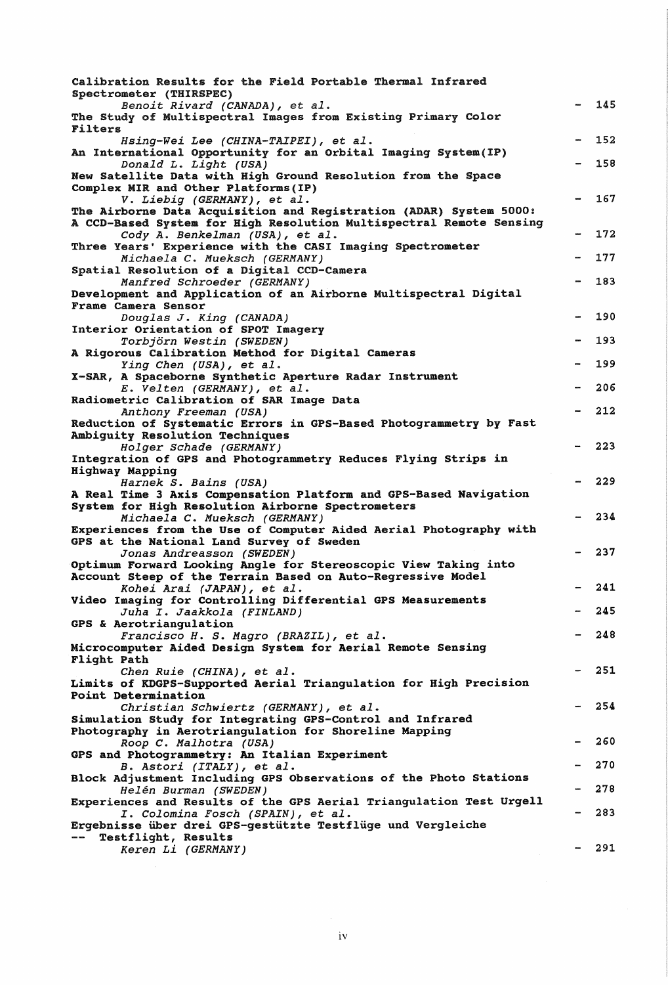| Calibration Results for the Field Portable Thermal Infrared                                                         |     |
|---------------------------------------------------------------------------------------------------------------------|-----|
| Spectrometer (THIRSPEC)<br>Benoit Rivard (CANADA), et al.                                                           | 145 |
| The Study of Multispectral Images from Existing Primary Color<br>Filters                                            |     |
| Hsing-Wei Lee (CHINA-TAIPEI), et al.                                                                                | 152 |
| An International Opportunity for an Orbital Imaging System(IP)<br>Donald L. Light (USA)                             | 158 |
| New Satellite Data with High Ground Resolution from the Space                                                       |     |
| Complex MIR and Other Platforms (IP)<br>V. Liebig (GERMANY), et al.                                                 | 167 |
| The Airborne Data Acquisition and Registration (ADAR) System 5000:                                                  |     |
| A CCD-Based System for High Resolution Multispectral Remote Sensing                                                 |     |
| Cody A. Benkelman (USA), et al.<br>Three Years' Experience with the CASI Imaging Spectrometer                       | 172 |
| Michaela C. Mueksch (GERMANY)                                                                                       | 177 |
| Spatial Resolution of a Digital CCD-Camera                                                                          |     |
| Manfred Schroeder (GERMANY)<br>Development and Application of an Airborne Multispectral Digital                     | 183 |
| Frame Camera Sensor                                                                                                 |     |
| Douglas J. King (CANADA)                                                                                            | 190 |
| Interior Orientation of SPOT Imagery                                                                                |     |
| Torbjörn Westin (SWEDEN)<br>A Rigorous Calibration Method for Digital Cameras                                       | 193 |
| Ying Chen (USA), et al.                                                                                             | 199 |
| X-SAR, A Spaceborne Synthetic Aperture Radar Instrument                                                             |     |
| E. Velten (GERMANY), et al.                                                                                         | 206 |
| Radiometric Calibration of SAR Image Data<br>Anthony Freeman (USA)                                                  | 212 |
| Reduction of Systematic Errors in GPS-Based Photogrammetry by Fast                                                  |     |
| Ambiguity Resolution Techniques                                                                                     |     |
| Holger Schade (GERMANY)<br>Integration of GPS and Photogrammetry Reduces Flying Strips in                           | 223 |
| Highway Mapping                                                                                                     |     |
| Harnek S. Bains (USA)                                                                                               | 229 |
| A Real Time 3 Axis Compensation Platform and GPS-Based Navigation                                                   |     |
| System for High Resolution Airborne Spectrometers<br>Michaela C. Mueksch (GERMANY)                                  | 234 |
| Experiences from the Use of Computer Aided Aerial Photography with                                                  |     |
| GPS at the National Land Survey of Sweden                                                                           |     |
| Jonas Andreasson (SWEDEN)<br>Optimum Forward Looking Angle for Stereoscopic View Taking into                        | 237 |
| Account Steep of the Terrain Based on Auto-Regressive Model                                                         |     |
| Kohei Arai (JAPAN), et al.                                                                                          | 241 |
| Video Imaging for Controlling Differential GPS Measurements                                                         | 245 |
| Juha I. Jaakkola (FINLAND)<br>GPS & Aerotriangulation                                                               |     |
| Francisco H. S. Magro (BRAZIL), et al.                                                                              | 248 |
| Microcomputer Aided Design System for Aerial Remote Sensing                                                         |     |
| Flight Path                                                                                                         | 251 |
| Chen Ruie (CHINA), et al.<br>Limits of KDGPS-Supported Aerial Triangulation for High Precision                      |     |
| Point Determination                                                                                                 |     |
| Christian Schwiertz (GERMANY), et al.                                                                               | 254 |
| Simulation Study for Integrating GPS-Control and Infrared<br>Photography in Aerotriangulation for Shoreline Mapping |     |
| Roop C. Malhotra (USA)                                                                                              | 260 |
| GPS and Photogrammetry: An Italian Experiment                                                                       |     |
| B. Astori (ITALY), et al.<br>Block Adjustment Including GPS Observations of the Photo Stations                      | 270 |
| Helén Burman (SWEDEN)                                                                                               | 278 |
| Experiences and Results of the GPS Aerial Triangulation Test Urgell                                                 |     |
| I. Colomina Fosch (SPAIN), et al.                                                                                   | 283 |
| Ergebnisse über drei GPS-gestützte Testflüge und Vergleiche<br>Testflight, Results                                  |     |
| Keren Li (GERMANY)                                                                                                  | 291 |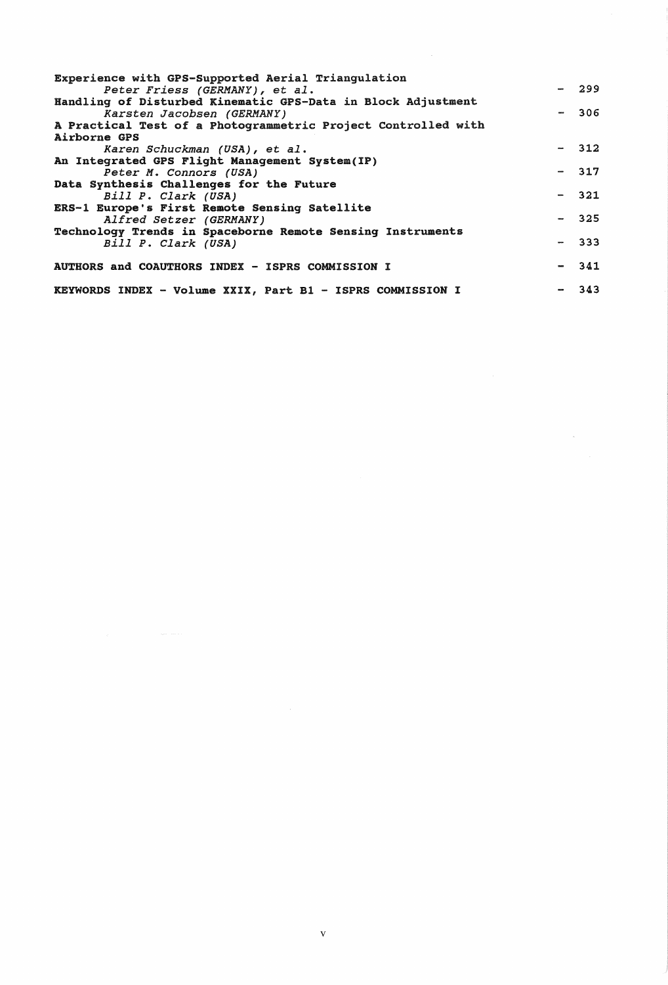| Experience with GPS-Supported Aerial Triangulation            |        |
|---------------------------------------------------------------|--------|
| Peter Friess (GERMANY), et al.                                | $-299$ |
| Handling of Disturbed Kinematic GPS-Data in Block Adjustment  |        |
| Karsten Jacobsen (GERMANY)                                    | $-306$ |
| A Practical Test of a Photogrammetric Project Controlled with |        |
| Airborne GPS                                                  |        |
| Karen Schuckman (USA), et al.                                 | $-312$ |
| An Integrated GPS Flight Management System(IP)                |        |
| Peter M. Connors (USA)                                        | $-317$ |
| Data Synthesis Challenges for the Future                      |        |
| Bill P. Clark (USA)                                           | $-321$ |
| ERS-1 Europe's First Remote Sensing Satellite                 |        |
| Alfred Setzer (GERMANY)                                       | $-325$ |
| Technology Trends in Spaceborne Remote Sensing Instruments    |        |
| Bill P. Clark (USA)                                           | $-333$ |
|                                                               |        |
| AUTHORS and COAUTHORS INDEX - ISPRS COMMISSION I              | $-341$ |
|                                                               |        |
| KEYWORDS INDEX - Volume XXIX, Part B1 - ISPRS COMMISSION I    | 343    |

 $\label{eq:2.1} \frac{1}{\sqrt{2}}\int_{0}^{\infty}\frac{1}{\sqrt{2\pi}}\left(\frac{1}{\sqrt{2\pi}}\right)^{2\alpha} \frac{1}{\sqrt{2\pi}}\int_{0}^{\infty}\frac{1}{\sqrt{2\pi}}\left(\frac{1}{\sqrt{2\pi}}\right)^{\alpha} \frac{1}{\sqrt{2\pi}}\frac{1}{\sqrt{2\pi}}\int_{0}^{\infty}\frac{1}{\sqrt{2\pi}}\frac{1}{\sqrt{2\pi}}\frac{1}{\sqrt{2\pi}}\frac{1}{\sqrt{2\pi}}\frac{1}{\sqrt{2\pi}}\frac{1}{\sqrt{2\pi}}$